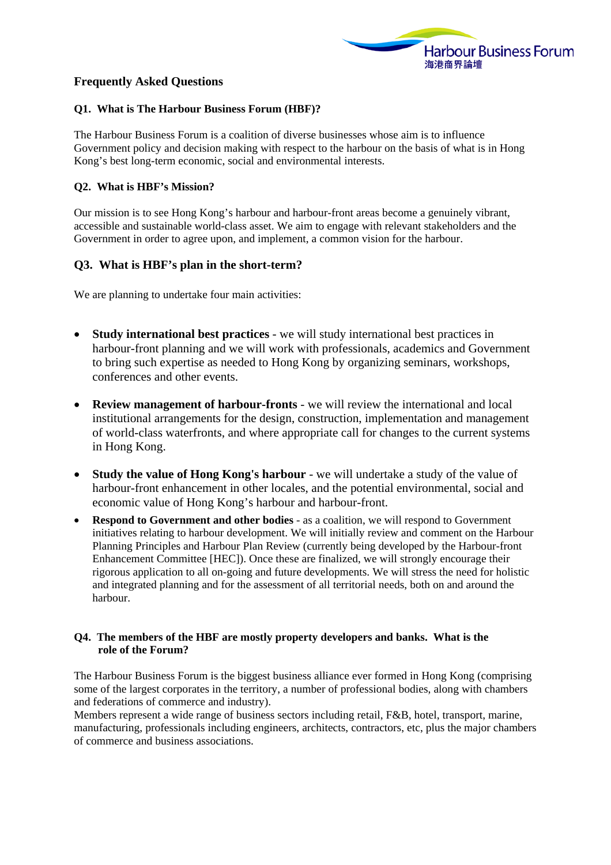

# **Frequently Asked Questions**

## **Q1. What is The Harbour Business Forum (HBF)?**

The Harbour Business Forum is a coalition of diverse businesses whose aim is to influence Government policy and decision making with respect to the harbour on the basis of what is in Hong Kong's best long-term economic, social and environmental interests.

### **Q2. What is HBF's Mission?**

Our mission is to see Hong Kong's harbour and harbour-front areas become a genuinely vibrant, accessible and sustainable world-class asset. We aim to engage with relevant stakeholders and the Government in order to agree upon, and implement, a common vision for the harbour.

## **Q3. What is HBF's plan in the short-term?**

We are planning to undertake four main activities:

- **Study international best practices**  we will study international best practices in harbour-front planning and we will work with professionals, academics and Government to bring such expertise as needed to Hong Kong by organizing seminars, workshops, conferences and other events.
- **Review management of harbour-fronts**  we will review the international and local institutional arrangements for the design, construction, implementation and management of world-class waterfronts, and where appropriate call for changes to the current systems in Hong Kong.
- **Study the value of Hong Kong's harbour** we will undertake a study of the value of harbour-front enhancement in other locales, and the potential environmental, social and economic value of Hong Kong's harbour and harbour-front.
- **Respond to Government and other bodies**  as a coalition, we will respond to Government initiatives relating to harbour development. We will initially review and comment on the Harbour Planning Principles and Harbour Plan Review (currently being developed by the Harbour-front Enhancement Committee [HEC]). Once these are finalized, we will strongly encourage their rigorous application to all on-going and future developments. We will stress the need for holistic and integrated planning and for the assessment of all territorial needs, both on and around the harbour.

### **Q4. The members of the HBF are mostly property developers and banks. What is the role of the Forum?**

The Harbour Business Forum is the biggest business alliance ever formed in Hong Kong (comprising some of the largest corporates in the territory, a number of professional bodies, along with chambers and federations of commerce and industry).

Members represent a wide range of business sectors including retail, F&B, hotel, transport, marine, manufacturing, professionals including engineers, architects, contractors, etc, plus the major chambers of commerce and business associations.